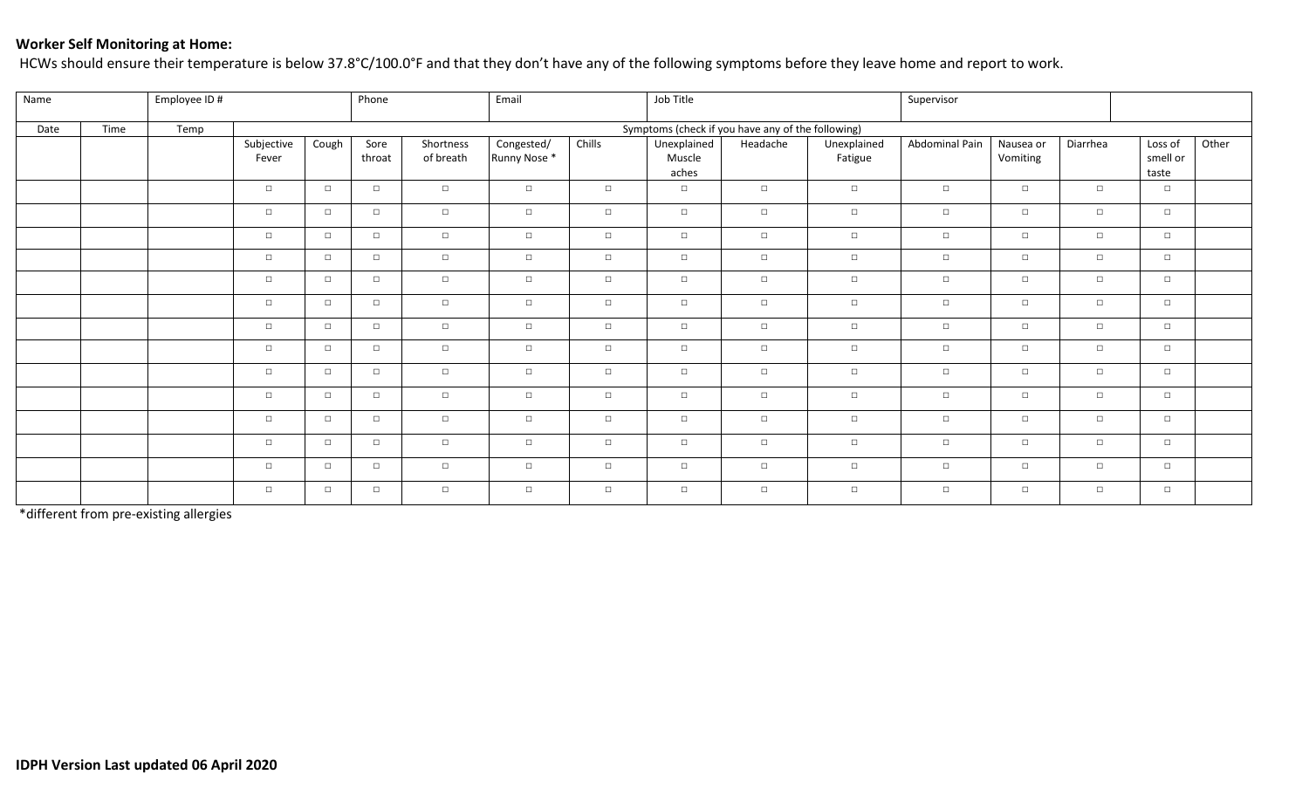## **Worker Self Monitoring at Home:**

HCWs should ensure their temperature is below 37.8°C/100.0°F and that they don't have any of the following symptoms before they leave home and report to work.

| Name |      | Employee ID # |                     | Phone  |                | Email                  |                            | Job Title                                         |                                |          | Supervisor             |                |                       |          |                              |       |
|------|------|---------------|---------------------|--------|----------------|------------------------|----------------------------|---------------------------------------------------|--------------------------------|----------|------------------------|----------------|-----------------------|----------|------------------------------|-------|
| Date | Time | Temp          |                     |        |                |                        |                            | Symptoms (check if you have any of the following) |                                |          |                        |                |                       |          |                              |       |
|      |      |               | Subjective<br>Fever | Cough  | Sore<br>throat | Shortness<br>of breath | Congested/<br>Runny Nose * | Chills                                            | Unexplained<br>Muscle<br>aches | Headache | Unexplained<br>Fatigue | Abdominal Pain | Nausea or<br>Vomiting | Diarrhea | Loss of<br>smell or<br>taste | Other |
|      |      |               | $\Box$              | $\Box$ | $\Box$         | $\Box$                 | $\Box$                     | $\Box$                                            | $\Box$                         | $\Box$   | $\Box$                 | $\Box$         | $\Box$                | $\Box$   | $\Box$                       |       |
|      |      |               | $\Box$              | $\Box$ | $\Box$         | $\Box$                 | $\Box$                     | $\Box$                                            | $\Box$                         | $\Box$   | $\Box$                 | $\Box$         | $\Box$                | $\Box$   | $\Box$                       |       |
|      |      |               | $\Box$              | $\Box$ | $\Box$         | $\Box$                 | $\Box$                     | $\Box$                                            | $\Box$                         | $\Box$   | $\Box$                 | $\Box$         | $\Box$                | $\Box$   | $\Box$                       |       |
|      |      |               | $\Box$              | $\Box$ | $\Box$         | $\Box$                 | $\Box$                     | $\Box$                                            | $\Box$                         | $\Box$   | $\Box$                 | $\Box$         | $\Box$                | $\Box$   | $\Box$                       |       |
|      |      |               | $\Box$              | $\Box$ | $\Box$         | $\Box$                 | $\Box$                     | $\Box$                                            | $\Box$                         | $\Box$   | $\Box$                 | $\Box$         | $\Box$                | $\Box$   | $\Box$                       |       |
|      |      |               | $\Box$              | $\Box$ | $\Box$         | $\Box$                 | $\Box$                     | $\Box$                                            | $\Box$                         | $\Box$   | $\Box$                 | $\Box$         | $\Box$                | $\Box$   | $\Box$                       |       |
|      |      |               | $\Box$              | $\Box$ | $\Box$         | $\Box$                 | $\Box$                     | $\Box$                                            | $\Box$                         | $\Box$   | $\Box$                 | $\Box$         | $\Box$                | $\Box$   | $\Box$                       |       |
|      |      |               | $\Box$              | $\Box$ | $\Box$         | $\Box$                 | $\Box$                     | $\Box$                                            | $\Box$                         | $\Box$   | $\Box$                 | $\Box$         | $\Box$                | $\Box$   | $\Box$                       |       |
|      |      |               | $\Box$              | $\Box$ | $\Box$         | $\Box$                 | $\Box$                     | $\Box$                                            | $\Box$                         | $\Box$   | $\Box$                 | $\Box$         | $\Box$                | $\Box$   | $\Box$                       |       |
|      |      |               | $\Box$              | $\Box$ | $\Box$         | $\Box$                 | $\Box$                     | $\Box$                                            | $\Box$                         | $\Box$   | $\Box$                 | $\Box$         | $\Box$                | $\Box$   | $\Box$                       |       |
|      |      |               | $\Box$              | $\Box$ | $\Box$         | $\Box$                 | $\Box$                     | $\Box$                                            | $\Box$                         | $\Box$   | $\Box$                 | $\Box$         | $\Box$                | $\Box$   | $\Box$                       |       |
|      |      |               | $\Box$              | $\Box$ | $\Box$         | $\Box$                 | $\Box$                     | $\Box$                                            | $\Box$                         | $\Box$   | $\Box$                 | $\Box$         | $\Box$                | $\Box$   | $\Box$                       |       |
|      |      |               | $\Box$              | $\Box$ | $\Box$         | $\Box$                 | $\Box$                     | $\Box$                                            | $\Box$                         | $\Box$   | $\Box$                 | $\Box$         | $\Box$                | $\Box$   | $\Box$                       |       |
|      |      |               | $\Box$              | $\Box$ | $\Box$         | $\Box$                 | $\Box$                     | $\Box$                                            | $\Box$                         | $\Box$   | $\Box$                 | $\Box$         | $\Box$                | $\Box$   | $\Box$                       |       |

\*different from pre-existing allergies